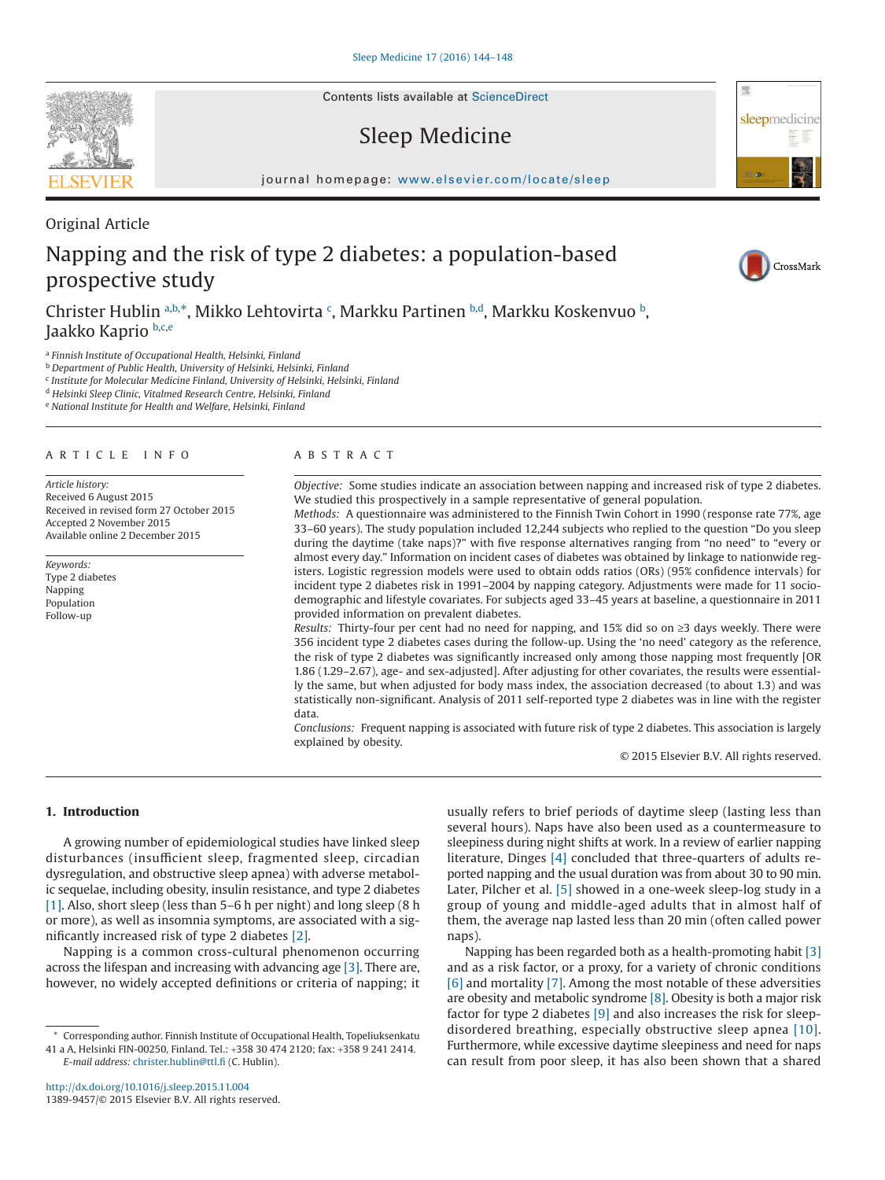Contents lists available at [ScienceDirect](http://www.sciencedirect.com/science/journal/13899457)

# Sleep Medicine

journal homepage: [www.elsevier.com/locate/sleep](http://www.elsevier.com/locate/SLEEP)

# Original Article Napping and the risk of type 2 diabetes: a population-based prospective study

Christer Hublin [a,](#page-0-0)[b,](#page-0-1)[\\*,](#page-0-2) Mikko Lehtovirta <sup>[c](#page-0-3)</sup>, Markku Partinen <sup>[b](#page-0-1),d</sup>, Markku Koskenvuo <sup>b</sup>, Jaakko Kaprio [b,](#page-0-1)[c](#page-0-3)[,e](#page-0-5)

<span id="page-0-0"></span><sup>a</sup> *Finnish Institute of Occupational Health, Helsinki, Finland*

<span id="page-0-1"></span><sup>b</sup> *Department of Public Health, University of Helsinki, Helsinki, Finland*

<span id="page-0-3"></span><sup>c</sup> *Institute for Molecular Medicine Finland, University of Helsinki, Helsinki, Finland*

<span id="page-0-4"></span><sup>d</sup> *Helsinki Sleep Clinic, Vitalmed Research Centre, Helsinki, Finland*

<span id="page-0-5"></span><sup>e</sup> *National Institute for Health and Welfare, Helsinki, Finland*

#### ARTICLE INFO

*Article history:* Received 6 August 2015 Received in revised form 27 October 2015 Accepted 2 November 2015 Available online 2 December 2015

*Keywords:* Type 2 diabetes Napping Population Follow-up

### ABSTRACT

*Objective:* Some studies indicate an association between napping and increased risk of type 2 diabetes. We studied this prospectively in a sample representative of general population.

*Methods:* A questionnaire was administered to the Finnish Twin Cohort in 1990 (response rate 77%, age 33–60 years). The study population included 12,244 subjects who replied to the question "Do you sleep during the daytime (take naps)?" with five response alternatives ranging from "no need" to "every or almost every day." Information on incident cases of diabetes was obtained by linkage to nationwide registers. Logistic regression models were used to obtain odds ratios (ORs) (95% confidence intervals) for incident type 2 diabetes risk in 1991–2004 by napping category. Adjustments were made for 11 sociodemographic and lifestyle covariates. For subjects aged 33–45 years at baseline, a questionnaire in 2011 provided information on prevalent diabetes.

*Results:* Thirty-four per cent had no need for napping, and 15% did so on ≥3 days weekly. There were 356 incident type 2 diabetes cases during the follow-up. Using the 'no need' category as the reference, the risk of type 2 diabetes was significantly increased only among those napping most frequently [OR 1.86 (1.29–2.67), age- and sex-adjusted]. After adjusting for other covariates, the results were essentially the same, but when adjusted for body mass index, the association decreased (to about 1.3) and was statistically non-significant. Analysis of 2011 self-reported type 2 diabetes was in line with the register data.

*Conclusions:* Frequent napping is associated with future risk of type 2 diabetes. This association is largely explained by obesity.

© 2015 Elsevier B.V. All rights reserved.

## **1. Introduction**

A growing number of epidemiological studies have linked sleep disturbances (insufficient sleep, fragmented sleep, circadian dysregulation, and obstructive sleep apnea) with adverse metabolic sequelae, including obesity, insulin resistance, and type 2 diabetes [\[1\].](#page-3-0) Also, short sleep (less than 5–6 h per night) and long sleep (8 h or more), as well as insomnia symptoms, are associated with a significantly increased risk of type 2 diabetes [\[2\].](#page-3-1)

Napping is a common cross-cultural phenomenon occurring across the lifespan and increasing with advancing age [\[3\].](#page-3-2) There are, however, no widely accepted definitions or criteria of napping; it

*E-mail address:* [christer.hublin@ttl.fi](mailto:christer.hublin@ttl.fi) (C. Hublin).

usually refers to brief periods of daytime sleep (lasting less than several hours). Naps have also been used as a countermeasure to sleepiness during night shifts at work. In a review of earlier napping literature, Dinges [\[4\]](#page-3-3) concluded that three-quarters of adults reported napping and the usual duration was from about 30 to 90 min. Later, Pilcher et al. [\[5\]](#page-3-4) showed in a one-week sleep-log study in a group of young and middle-aged adults that in almost half of them, the average nap lasted less than 20 min (often called power naps).

Napping has been regarded both as a health-promoting habit [\[3\]](#page-3-2) and as a risk factor, or a proxy, for a variety of chronic conditions [\[6\]](#page-3-5) and mortality [\[7\].](#page-3-6) Among the most notable of these adversities are obesity and metabolic syndrome [\[8\].](#page-3-7) Obesity is both a major risk factor for type 2 diabetes [\[9\]](#page-3-8) and also increases the risk for sleepdisordered breathing, especially obstructive sleep apnea [\[10\].](#page-3-9) Furthermore, while excessive daytime sleepiness and need for naps can result from poor sleep, it has also been shown that a shared







<span id="page-0-2"></span><sup>\*</sup> Corresponding author. Finnish Institute of Occupational Health, Topeliuksenkatu 41 a A, Helsinki FIN-00250, Finland. Tel.: +358 30 474 2120; fax: +358 9 241 2414.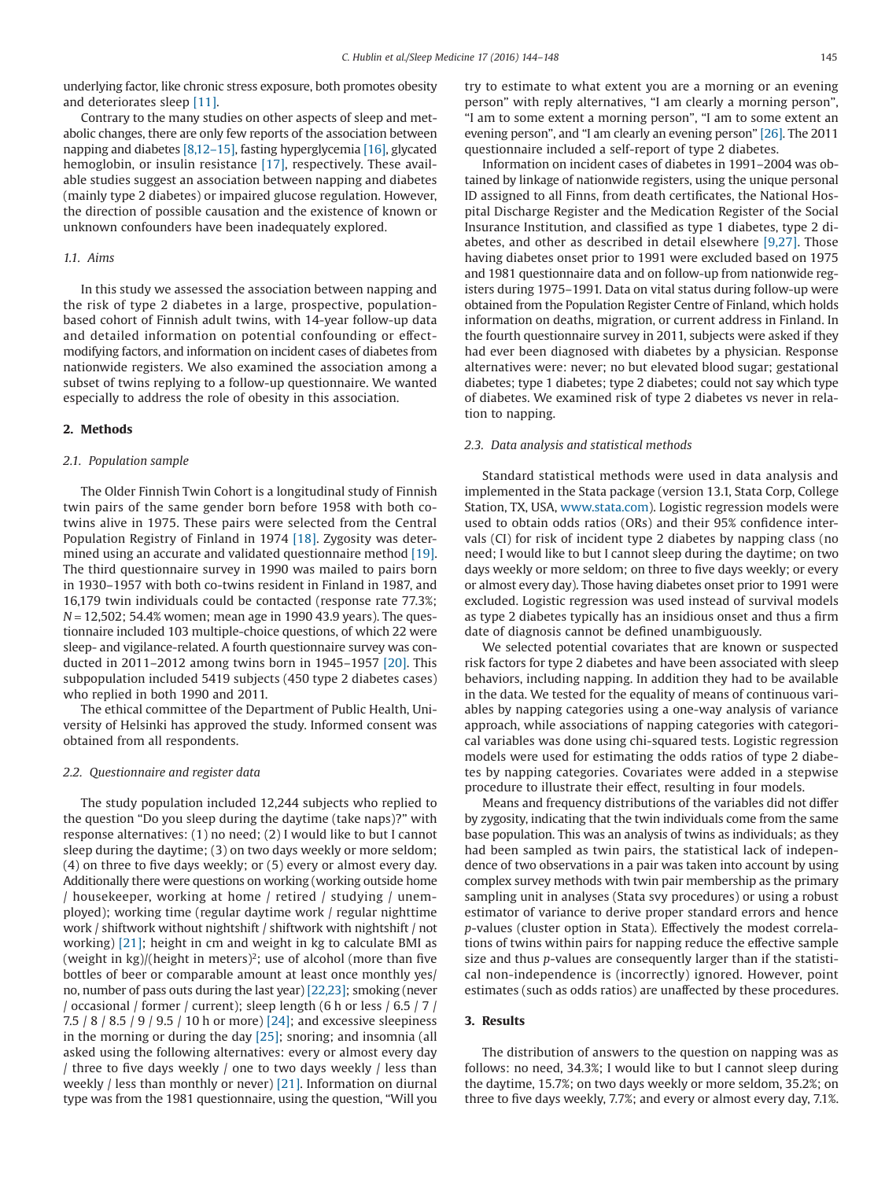underlying factor, like chronic stress exposure, both promotes obesity and deteriorates sleep [\[11\].](#page-3-10)

Contrary to the many studies on other aspects of sleep and metabolic changes, there are only few reports of the association between napping and diabetes [\[8,12–15\],](#page-3-7) fasting hyperglycemia [\[16\],](#page-3-11) glycated hemoglobin, or insulin resistance [\[17\],](#page-3-12) respectively. These available studies suggest an association between napping and diabetes (mainly type 2 diabetes) or impaired glucose regulation. However, the direction of possible causation and the existence of known or unknown confounders have been inadequately explored.

#### *1.1. Aims*

In this study we assessed the association between napping and the risk of type 2 diabetes in a large, prospective, populationbased cohort of Finnish adult twins, with 14-year follow-up data and detailed information on potential confounding or effectmodifying factors, and information on incident cases of diabetes from nationwide registers. We also examined the association among a subset of twins replying to a follow-up questionnaire. We wanted especially to address the role of obesity in this association.

#### **2. Methods**

#### *2.1. Population sample*

The Older Finnish Twin Cohort is a longitudinal study of Finnish twin pairs of the same gender born before 1958 with both cotwins alive in 1975. These pairs were selected from the Central Population Registry of Finland in 1974 [\[18\].](#page-3-13) Zygosity was determined using an accurate and validated questionnaire method [\[19\].](#page-4-0) The third questionnaire survey in 1990 was mailed to pairs born in 1930–1957 with both co-twins resident in Finland in 1987, and 16,179 twin individuals could be contacted (response rate 77.3%; *N* = 12,502; 54.4% women; mean age in 1990 43.9 years). The questionnaire included 103 multiple-choice questions, of which 22 were sleep- and vigilance-related. A fourth questionnaire survey was conducted in 2011–2012 among twins born in 1945–1957 [\[20\].](#page-4-1) This subpopulation included 5419 subjects (450 type 2 diabetes cases) who replied in both 1990 and 2011.

The ethical committee of the Department of Public Health, University of Helsinki has approved the study. Informed consent was obtained from all respondents.

#### *2.2. Questionnaire and register data*

The study population included 12,244 subjects who replied to the question "Do you sleep during the daytime (take naps)?" with response alternatives: (1) no need; (2) I would like to but I cannot sleep during the daytime; (3) on two days weekly or more seldom; (4) on three to five days weekly; or (5) every or almost every day. Additionally there were questions on working (working outside home / housekeeper, working at home / retired / studying / unemployed); working time (regular daytime work / regular nighttime work / shiftwork without nightshift / shiftwork with nightshift / not working) [\[21\];](#page-4-2) height in cm and weight in kg to calculate BMI as (weight in  $kg$ )/(height in meters)<sup>2</sup>; use of alcohol (more than five bottles of beer or comparable amount at least once monthly yes/ no, number of pass outs during the last year) [\[22,23\];](#page-4-3) smoking (never / occasional / former / current); sleep length (6 h or less / 6.5 / 7 / 7.5 / 8 / 8.5 / 9 / 9.5 / 10 h or more) [\[24\];](#page-4-4) and excessive sleepiness in the morning or during the day [\[25\];](#page-4-5) snoring; and insomnia (all asked using the following alternatives: every or almost every day / three to five days weekly / one to two days weekly / less than weekly / less than monthly or never) [\[21\].](#page-4-2) Information on diurnal type was from the 1981 questionnaire, using the question, "Will you try to estimate to what extent you are a morning or an evening person" with reply alternatives, "I am clearly a morning person", "I am to some extent a morning person", "I am to some extent an evening person", and "I am clearly an evening person" [\[26\].](#page-4-6) The 2011 questionnaire included a self-report of type 2 diabetes.

Information on incident cases of diabetes in 1991–2004 was obtained by linkage of nationwide registers, using the unique personal ID assigned to all Finns, from death certificates, the National Hospital Discharge Register and the Medication Register of the Social Insurance Institution, and classified as type 1 diabetes, type 2 diabetes, and other as described in detail elsewhere [\[9,27\].](#page-3-8) Those having diabetes onset prior to 1991 were excluded based on 1975 and 1981 questionnaire data and on follow-up from nationwide registers during 1975–1991. Data on vital status during follow-up were obtained from the Population Register Centre of Finland, which holds information on deaths, migration, or current address in Finland. In the fourth questionnaire survey in 2011, subjects were asked if they had ever been diagnosed with diabetes by a physician. Response alternatives were: never; no but elevated blood sugar; gestational diabetes; type 1 diabetes; type 2 diabetes; could not say which type of diabetes. We examined risk of type 2 diabetes vs never in relation to napping.

#### *2.3. Data analysis and statistical methods*

Standard statistical methods were used in data analysis and implemented in the Stata package (version 13.1, Stata Corp, College Station, TX, USA, [www.stata.com\)](http://www.stata.com). Logistic regression models were used to obtain odds ratios (ORs) and their 95% confidence intervals (CI) for risk of incident type 2 diabetes by napping class (no need; I would like to but I cannot sleep during the daytime; on two days weekly or more seldom; on three to five days weekly; or every or almost every day). Those having diabetes onset prior to 1991 were excluded. Logistic regression was used instead of survival models as type 2 diabetes typically has an insidious onset and thus a firm date of diagnosis cannot be defined unambiguously.

We selected potential covariates that are known or suspected risk factors for type 2 diabetes and have been associated with sleep behaviors, including napping. In addition they had to be available in the data. We tested for the equality of means of continuous variables by napping categories using a one-way analysis of variance approach, while associations of napping categories with categorical variables was done using chi-squared tests. Logistic regression models were used for estimating the odds ratios of type 2 diabetes by napping categories. Covariates were added in a stepwise procedure to illustrate their effect, resulting in four models.

Means and frequency distributions of the variables did not differ by zygosity, indicating that the twin individuals come from the same base population. This was an analysis of twins as individuals; as they had been sampled as twin pairs, the statistical lack of independence of two observations in a pair was taken into account by using complex survey methods with twin pair membership as the primary sampling unit in analyses (Stata svy procedures) or using a robust estimator of variance to derive proper standard errors and hence *p*-values (cluster option in Stata). Effectively the modest correlations of twins within pairs for napping reduce the effective sample size and thus *p*-values are consequently larger than if the statistical non-independence is (incorrectly) ignored. However, point estimates (such as odds ratios) are unaffected by these procedures.

#### **3. Results**

The distribution of answers to the question on napping was as follows: no need, 34.3%; I would like to but I cannot sleep during the daytime, 15.7%; on two days weekly or more seldom, 35.2%; on three to five days weekly, 7.7%; and every or almost every day, 7.1%.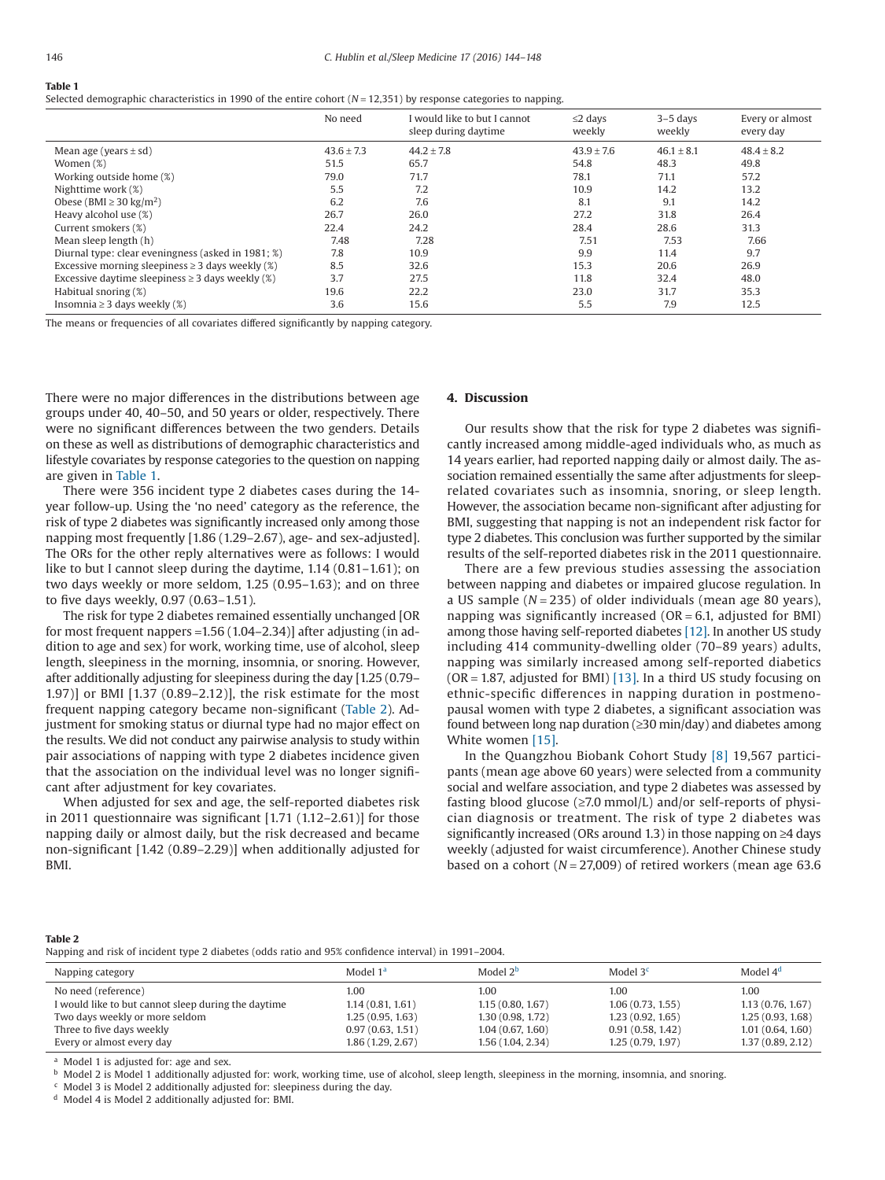### **Table 1**

Selected demographic characteristics in 1990 of the entire cohort (*N* = 12,351) by response categories to napping.

|                                                       | No need        | I would like to but I cannot<br>sleep during daytime | $\leq$ 2 days<br>weekly | $3-5$ days<br>weekly | Every or almost<br>every day |
|-------------------------------------------------------|----------------|------------------------------------------------------|-------------------------|----------------------|------------------------------|
| Mean age (years $\pm$ sd)                             | $43.6 \pm 7.3$ | $44.2 \pm 7.8$                                       | $43.9 \pm 7.6$          | $46.1 \pm 8.1$       | $48.4 \pm 8.2$               |
| Women $(\%)$                                          | 51.5           | 65.7                                                 | 54.8                    | 48.3                 | 49.8                         |
| Working outside home (%)                              | 79.0           | 71.7                                                 | 78.1                    | 71.1                 | 57.2                         |
| Nighttime work (%)                                    | 5.5            | 7.2                                                  | 10.9                    | 14.2                 | 13.2                         |
| Obese (BMI $\geq$ 30 kg/m <sup>2</sup> )              | 6.2            | 7.6                                                  | 8.1                     | 9.1                  | 14.2                         |
| Heavy alcohol use (%)                                 | 26.7           | 26.0                                                 | 27.2                    | 31.8                 | 26.4                         |
| Current smokers (%)                                   | 22.4           | 24.2                                                 | 28.4                    | 28.6                 | 31.3                         |
| Mean sleep length (h)                                 | 7.48           | 7.28                                                 | 7.51                    | 7.53                 | 7.66                         |
| Diurnal type: clear eveningness (asked in 1981; %)    | 7.8            | 10.9                                                 | 9.9                     | 11.4                 | 9.7                          |
| Excessive morning sleepiness $\geq$ 3 days weekly (%) | 8.5            | 32.6                                                 | 15.3                    | 20.6                 | 26.9                         |
| Excessive daytime sleepiness $\geq$ 3 days weekly (%) | 3.7            | 27.5                                                 | 11.8                    | 32.4                 | 48.0                         |
| Habitual snoring (%)                                  | 19.6           | 22.2                                                 | 23.0                    | 31.7                 | 35.3                         |
| Insomnia $\geq$ 3 days weekly (%)                     | 3.6            | 15.6                                                 | 5.5                     | 7.9                  | 12.5                         |

The means or frequencies of all covariates differed significantly by napping category.

There were no major differences in the distributions between age groups under 40, 40–50, and 50 years or older, respectively. There were no significant differences between the two genders. Details on these as well as distributions of demographic characteristics and lifestyle covariates by response categories to the question on napping are given in Table 1.

There were 356 incident type 2 diabetes cases during the 14 year follow-up. Using the 'no need' category as the reference, the risk of type 2 diabetes was significantly increased only among those napping most frequently [1.86 (1.29–2.67), age- and sex-adjusted]. The ORs for the other reply alternatives were as follows: I would like to but I cannot sleep during the daytime, 1.14 (0.81–1.61); on two days weekly or more seldom, 1.25 (0.95–1.63); and on three to five days weekly, 0.97 (0.63–1.51).

The risk for type 2 diabetes remained essentially unchanged [OR for most frequent nappers =1.56 (1.04–2.34)] after adjusting (in addition to age and sex) for work, working time, use of alcohol, sleep length, sleepiness in the morning, insomnia, or snoring. However, after additionally adjusting for sleepiness during the day [1.25 (0.79– 1.97)] or BMI [1.37 (0.89–2.12)], the risk estimate for the most frequent napping category became non-significant (Table 2). Adjustment for smoking status or diurnal type had no major effect on the results. We did not conduct any pairwise analysis to study within pair associations of napping with type 2 diabetes incidence given that the association on the individual level was no longer significant after adjustment for key covariates.

When adjusted for sex and age, the self-reported diabetes risk in 2011 questionnaire was significant [1.71 (1.12–2.61)] for those napping daily or almost daily, but the risk decreased and became non-significant [1.42 (0.89–2.29)] when additionally adjusted for BMI.

#### **4. Discussion**

Our results show that the risk for type 2 diabetes was significantly increased among middle-aged individuals who, as much as 14 years earlier, had reported napping daily or almost daily. The association remained essentially the same after adjustments for sleeprelated covariates such as insomnia, snoring, or sleep length. However, the association became non-significant after adjusting for BMI, suggesting that napping is not an independent risk factor for type 2 diabetes. This conclusion was further supported by the similar results of the self-reported diabetes risk in the 2011 questionnaire.

There are a few previous studies assessing the association between napping and diabetes or impaired glucose regulation. In a US sample (*N* = 235) of older individuals (mean age 80 years), napping was significantly increased ( $OR = 6.1$ , adjusted for BMI) among those having self-reported diabetes [\[12\].](#page-3-14) In another US study including 414 community-dwelling older (70–89 years) adults, napping was similarly increased among self-reported diabetics (OR = 1.87, adjusted for BMI) [\[13\].](#page-3-15) In a third US study focusing on ethnic-specific differences in napping duration in postmenopausal women with type 2 diabetes, a significant association was found between long nap duration (≥30 min/day) and diabetes among White women [\[15\].](#page-3-16)

In the Quangzhou Biobank Cohort Study [\[8\]](#page-3-7) 19,567 participants (mean age above 60 years) were selected from a community social and welfare association, and type 2 diabetes was assessed by fasting blood glucose ( $\geq$ 7.0 mmol/L) and/or self-reports of physician diagnosis or treatment. The risk of type 2 diabetes was significantly increased (ORs around 1.3) in those napping on ≥4 days weekly (adjusted for waist circumference). Another Chinese study based on a cohort (*N* = 27,009) of retired workers (mean age 63.6

#### **Table 2**

Napping and risk of incident type 2 diabetes (odds ratio and 95% confidence interval) in 1991–2004.

| Napping category                                    | Model 1 <sup>a</sup> | Model $2b$       | Model 3 <sup>c</sup> | Model $4d$       |
|-----------------------------------------------------|----------------------|------------------|----------------------|------------------|
| No need (reference)                                 | 1.00                 | 1.00             | 1.00                 | 1.00             |
| I would like to but cannot sleep during the daytime | 1.14(0.81, 1.61)     | 1.15(0.80, 1.67) | 1.06(0.73, 1.55)     | 1.13(0.76, 1.67) |
| Two days weekly or more seldom                      | 1.25(0.95, 1.63)     | 1,30(0.98, 1.72) | 1.23(0.92, 1.65)     | 1.25(0.93, 1.68) |
| Three to five days weekly                           | 0.97(0.63, 1.51)     | 1.04(0.67, 1.60) | 0.91(0.58, 1.42)     | 1.01(0.64, 1.60) |
| Every or almost every day                           | 1.86 (1.29, 2.67)    | 1.56(1.04, 2.34) | 1.25(0.79, 1.97)     | 1.37(0.89, 2.12) |

<span id="page-2-1"></span><span id="page-2-0"></span><sup>a</sup> Model 1 is adjusted for: age and sex.

<span id="page-2-2"></span>**b** Model 2 is Model 1 additionally adjusted for: work, working time, use of alcohol, sleep length, sleepiness in the morning, insomnia, and snoring.

<span id="page-2-3"></span><sup>c</sup> Model 3 is Model 2 additionally adjusted for: sleepiness during the day.

<sup>d</sup> Model 4 is Model 2 additionally adjusted for: BMI.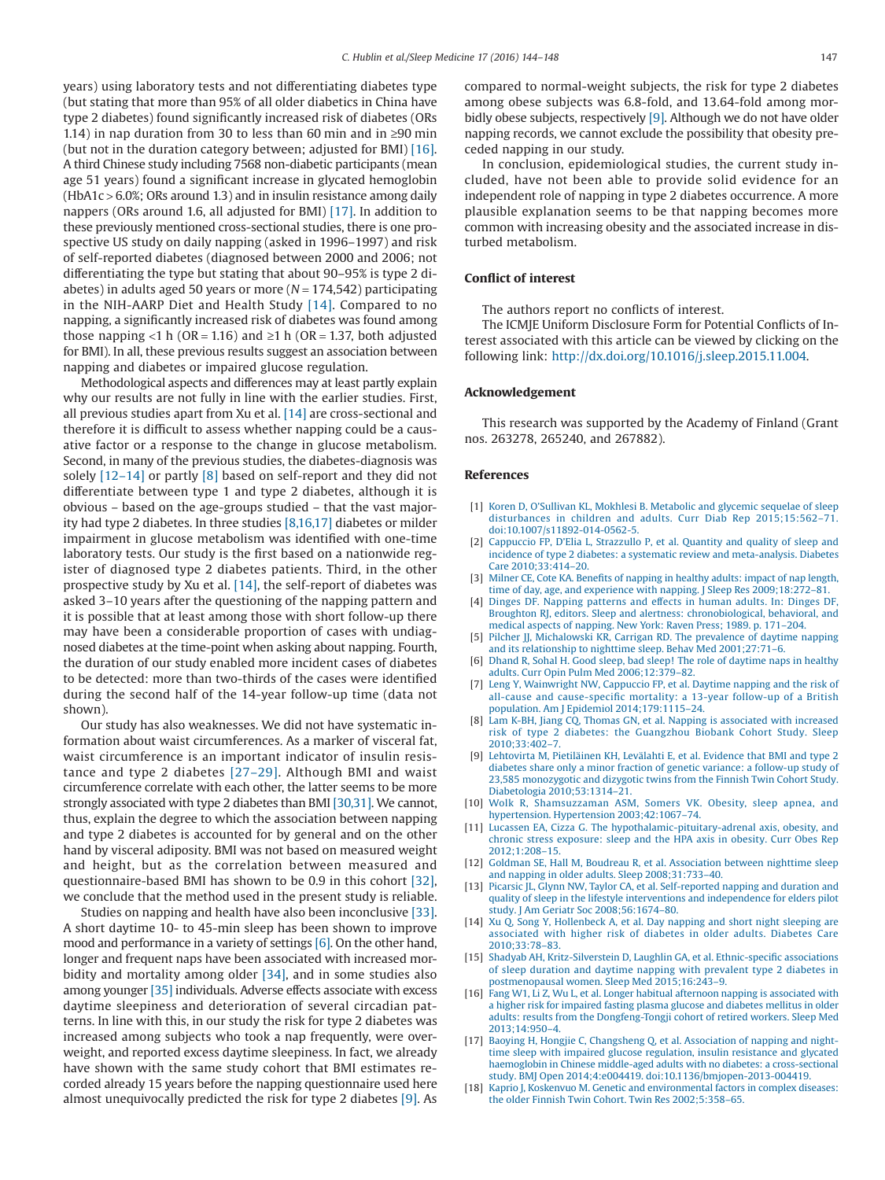years) using laboratory tests and not differentiating diabetes type (but stating that more than 95% of all older diabetics in China have type 2 diabetes) found significantly increased risk of diabetes (ORs 1.14) in nap duration from 30 to less than 60 min and in ≥90 min (but not in the duration category between; adjusted for BMI) [\[16\].](#page-3-11) A third Chinese study including 7568 non-diabetic participants (mean age 51 years) found a significant increase in glycated hemoglobin  $(HbA1c > 6.0\%;$  ORs around 1.3) and in insulin resistance among daily nappers (ORs around 1.6, all adjusted for BMI) [\[17\].](#page-3-12) In addition to these previously mentioned cross-sectional studies, there is one prospective US study on daily napping (asked in 1996–1997) and risk of self-reported diabetes (diagnosed between 2000 and 2006; not differentiating the type but stating that about 90–95% is type 2 diabetes) in adults aged 50 years or more (*N* = 174,542) participating in the NIH-AARP Diet and Health Study [\[14\].](#page-3-17) Compared to no napping, a significantly increased risk of diabetes was found among those napping <1 h (OR = 1.16) and  $\geq$ 1 h (OR = 1.37, both adjusted for BMI). In all, these previous results suggest an association between napping and diabetes or impaired glucose regulation.

Methodological aspects and differences may at least partly explain why our results are not fully in line with the earlier studies. First, all previous studies apart from Xu et al. [\[14\]](#page-3-17) are cross-sectional and therefore it is difficult to assess whether napping could be a causative factor or a response to the change in glucose metabolism. Second, in many of the previous studies, the diabetes-diagnosis was solely [\[12–14\]](#page-3-14) or partly [\[8\]](#page-3-7) based on self-report and they did not differentiate between type 1 and type 2 diabetes, although it is obvious – based on the age-groups studied – that the vast majority had type 2 diabetes. In three studies [\[8,16,17\]](#page-3-7) diabetes or milder impairment in glucose metabolism was identified with one-time laboratory tests. Our study is the first based on a nationwide register of diagnosed type 2 diabetes patients. Third, in the other prospective study by Xu et al. [\[14\],](#page-3-17) the self-report of diabetes was asked 3–10 years after the questioning of the napping pattern and it is possible that at least among those with short follow-up there may have been a considerable proportion of cases with undiagnosed diabetes at the time-point when asking about napping. Fourth, the duration of our study enabled more incident cases of diabetes to be detected: more than two-thirds of the cases were identified during the second half of the 14-year follow-up time (data not shown).

Our study has also weaknesses. We did not have systematic information about waist circumferences. As a marker of visceral fat, waist circumference is an important indicator of insulin resistance and type 2 diabetes [\[27–29\].](#page-4-7) Although BMI and waist circumference correlate with each other, the latter seems to be more strongly associated with type 2 diabetes than BMI [\[30,31\].](#page-4-8) We cannot, thus, explain the degree to which the association between napping and type 2 diabetes is accounted for by general and on the other hand by visceral adiposity. BMI was not based on measured weight and height, but as the correlation between measured and questionnaire-based BMI has shown to be 0.9 in this cohort [\[32\],](#page-4-9) we conclude that the method used in the present study is reliable.

Studies on napping and health have also been inconclusive [\[33\].](#page-4-10) A short daytime 10- to 45-min sleep has been shown to improve mood and performance in a variety of settings [\[6\].](#page-3-5) On the other hand, longer and frequent naps have been associated with increased mor-bidity and mortality among older [\[34\],](#page-4-11) and in some studies also among younger [\[35\]](#page-4-12) individuals. Adverse effects associate with excess daytime sleepiness and deterioration of several circadian patterns. In line with this, in our study the risk for type 2 diabetes was increased among subjects who took a nap frequently, were overweight, and reported excess daytime sleepiness. In fact, we already have shown with the same study cohort that BMI estimates recorded already 15 years before the napping questionnaire used here almost unequivocally predicted the risk for type 2 diabetes [\[9\].](#page-3-8) As

compared to normal-weight subjects, the risk for type 2 diabetes among obese subjects was 6.8-fold, and 13.64-fold among mor-bidly obese subjects, respectively [\[9\].](#page-3-8) Although we do not have older napping records, we cannot exclude the possibility that obesity preceded napping in our study.

In conclusion, epidemiological studies, the current study included, have not been able to provide solid evidence for an independent role of napping in type 2 diabetes occurrence. A more plausible explanation seems to be that napping becomes more common with increasing obesity and the associated increase in disturbed metabolism.

#### **Conflict of interest**

The authors report no conflicts of interest.

The ICMJE Uniform Disclosure Form for Potential Conflicts of Interest associated with this article can be viewed by clicking on the following link: [http://dx.doi.org/10.1016/j.sleep.2015.11.004.](http://dx.doi.org/10.1016/j.sleep.2015.11.004)

#### **Acknowledgement**

This research was supported by the Academy of Finland (Grant nos. 263278, 265240, and 267882).

#### **References**

- <span id="page-3-0"></span>[1] [Koren D, O'Sullivan KL, Mokhlesi B. Metabolic and glycemic sequelae of sleep](http://refhub.elsevier.com/S1389-9457(15)02042-0/sr0010) [disturbances in children and adults. Curr Diab Rep 2015;15:562–71.](http://refhub.elsevier.com/S1389-9457(15)02042-0/sr0010) [doi:10.1007/s11892-014-0562-5.](http://refhub.elsevier.com/S1389-9457(15)02042-0/sr0010)
- <span id="page-3-1"></span>[2] [Cappuccio FP, D'Elia L, Strazzullo P, et al. Quantity and quality of sleep and](http://refhub.elsevier.com/S1389-9457(15)02042-0/sr0015) [incidence of type 2 diabetes: a systematic review and meta-analysis. Diabetes](http://refhub.elsevier.com/S1389-9457(15)02042-0/sr0015) [Care 2010;33:414–20.](http://refhub.elsevier.com/S1389-9457(15)02042-0/sr0015)
- <span id="page-3-2"></span>[3] [Milner CE, Cote KA. Benefits of napping in healthy adults: impact of nap length,](http://refhub.elsevier.com/S1389-9457(15)02042-0/sr0020) [time of day, age, and experience with napping. J Sleep Res 2009;18:272–81.](http://refhub.elsevier.com/S1389-9457(15)02042-0/sr0020)
- <span id="page-3-3"></span>[4] [Dinges DF. Napping patterns and effects in human adults. In: Dinges DF,](http://refhub.elsevier.com/S1389-9457(15)02042-0/sr0025) [Broughton RJ, editors. Sleep and alertness: chronobiological, behavioral, and](http://refhub.elsevier.com/S1389-9457(15)02042-0/sr0025) [medical aspects of napping. New York: Raven Press; 1989. p. 171–204.](http://refhub.elsevier.com/S1389-9457(15)02042-0/sr0025)
- <span id="page-3-4"></span>[5] [Pilcher JJ, Michalowski KR, Carrigan RD. The prevalence of daytime napping](http://refhub.elsevier.com/S1389-9457(15)02042-0/sr0030) [and its relationship to nighttime sleep. Behav Med 2001;27:71–6.](http://refhub.elsevier.com/S1389-9457(15)02042-0/sr0030)
- <span id="page-3-5"></span>[6] [Dhand R, Sohal H. Good sleep, bad sleep! The role of daytime naps in healthy](http://refhub.elsevier.com/S1389-9457(15)02042-0/sr0035) [adults. Curr Opin Pulm Med 2006;12:379–82.](http://refhub.elsevier.com/S1389-9457(15)02042-0/sr0035)
- <span id="page-3-6"></span>[7] [Leng Y, Wainwright NW, Cappuccio FP, et al. Daytime napping and the risk of](http://refhub.elsevier.com/S1389-9457(15)02042-0/sr0040) [all-cause and cause-specific mortality: a 13-year follow-up of a British](http://refhub.elsevier.com/S1389-9457(15)02042-0/sr0040) [population. Am J Epidemiol 2014;179:1115–24.](http://refhub.elsevier.com/S1389-9457(15)02042-0/sr0040)
- <span id="page-3-7"></span>[8] [Lam K-BH, Jiang CQ, Thomas GN, et al. Napping is associated with increased](http://refhub.elsevier.com/S1389-9457(15)02042-0/sr0045) [risk of type 2 diabetes: the Guangzhou Biobank Cohort Study. Sleep](http://refhub.elsevier.com/S1389-9457(15)02042-0/sr0045) [2010;33:402–7.](http://refhub.elsevier.com/S1389-9457(15)02042-0/sr0045)
- <span id="page-3-8"></span>[9] [Lehtovirta M, Pietiläinen KH, Levälahti E, et al. Evidence that BMI and type 2](http://refhub.elsevier.com/S1389-9457(15)02042-0/sr0050) [diabetes share only a minor fraction of genetic variance: a follow-up study of](http://refhub.elsevier.com/S1389-9457(15)02042-0/sr0050) [23,585 monozygotic and dizygotic twins from the Finnish Twin Cohort Study.](http://refhub.elsevier.com/S1389-9457(15)02042-0/sr0050) [Diabetologia 2010;53:1314–21.](http://refhub.elsevier.com/S1389-9457(15)02042-0/sr0050)
- <span id="page-3-9"></span>[10] [Wolk R, Shamsuzzaman ASM, Somers VK. Obesity, sleep apnea, and](http://refhub.elsevier.com/S1389-9457(15)02042-0/sr0055) [hypertension. Hypertension 2003;42:1067–74.](http://refhub.elsevier.com/S1389-9457(15)02042-0/sr0055)
- <span id="page-3-10"></span>[11] [Lucassen EA, Cizza G. The hypothalamic-pituitary-adrenal axis, obesity, and](http://refhub.elsevier.com/S1389-9457(15)02042-0/sr0060) [chronic stress exposure: sleep and the HPA axis in obesity. Curr Obes Rep](http://refhub.elsevier.com/S1389-9457(15)02042-0/sr0060) [2012;1:208–15.](http://refhub.elsevier.com/S1389-9457(15)02042-0/sr0060)
- <span id="page-3-14"></span>[12] [Goldman SE, Hall M, Boudreau R, et al. Association between nighttime sleep](http://refhub.elsevier.com/S1389-9457(15)02042-0/sr0065) [and napping in older adults. Sleep 2008;31:733–40.](http://refhub.elsevier.com/S1389-9457(15)02042-0/sr0065)
- <span id="page-3-15"></span>[13] [Picarsic JL, Glynn NW, Taylor CA, et al. Self-reported napping and duration and](http://refhub.elsevier.com/S1389-9457(15)02042-0/sr0070) [quality of sleep in the lifestyle interventions and independence for elders pilot](http://refhub.elsevier.com/S1389-9457(15)02042-0/sr0070) [study. J Am Geriatr Soc 2008;56:1674–80.](http://refhub.elsevier.com/S1389-9457(15)02042-0/sr0070)
- <span id="page-3-17"></span>[14] [Xu Q, Song Y, Hollenbeck A, et al. Day napping and short night sleeping are](http://refhub.elsevier.com/S1389-9457(15)02042-0/sr0075) [associated with higher risk of diabetes in older adults. Diabetes Care](http://refhub.elsevier.com/S1389-9457(15)02042-0/sr0075) [2010;33:78–83.](http://refhub.elsevier.com/S1389-9457(15)02042-0/sr0075)
- <span id="page-3-16"></span>[15] [Shadyab AH, Kritz-Silverstein D, Laughlin GA, et al. Ethnic-specific associations](http://refhub.elsevier.com/S1389-9457(15)02042-0/sr0080) [of sleep duration and daytime napping with prevalent type 2 diabetes in](http://refhub.elsevier.com/S1389-9457(15)02042-0/sr0080) [postmenopausal women. Sleep Med 2015;16:243–9.](http://refhub.elsevier.com/S1389-9457(15)02042-0/sr0080)
- <span id="page-3-11"></span>[16] [Fang W1, Li Z, Wu L, et al. Longer habitual afternoon napping is associated with](http://refhub.elsevier.com/S1389-9457(15)02042-0/sr0085) [a higher risk for impaired fasting plasma glucose and diabetes mellitus in older](http://refhub.elsevier.com/S1389-9457(15)02042-0/sr0085) [adults: results from the Dongfeng-Tongji cohort of retired workers. Sleep Med](http://refhub.elsevier.com/S1389-9457(15)02042-0/sr0085) [2013;14:950–4.](http://refhub.elsevier.com/S1389-9457(15)02042-0/sr0085)
- <span id="page-3-12"></span>[17] [Baoying H, Hongjie C, Changsheng Q, et al. Association of napping and night](http://refhub.elsevier.com/S1389-9457(15)02042-0/sr0090)[time sleep with impaired glucose regulation, insulin resistance and glycated](http://refhub.elsevier.com/S1389-9457(15)02042-0/sr0090) [haemoglobin in Chinese middle-aged adults with no diabetes: a cross-sectional](http://refhub.elsevier.com/S1389-9457(15)02042-0/sr0090) [study. BMJ Open 2014;4:e004419. doi:10.1136/bmjopen-2013-004419.](http://refhub.elsevier.com/S1389-9457(15)02042-0/sr0090)
- <span id="page-3-13"></span>[18] [Kaprio J, Koskenvuo M. Genetic and environmental factors in complex diseases:](http://refhub.elsevier.com/S1389-9457(15)02042-0/sr0095) [the older Finnish Twin Cohort. Twin Res 2002;5:358–65.](http://refhub.elsevier.com/S1389-9457(15)02042-0/sr0095)